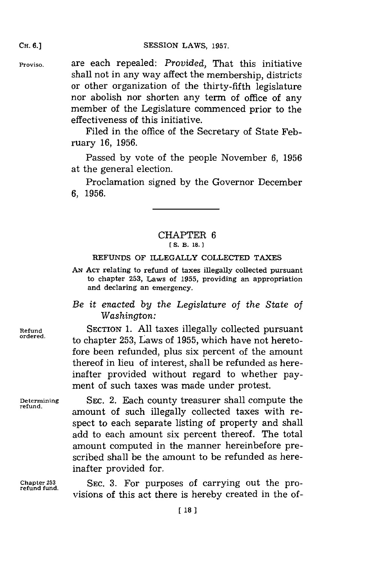**Proviso,** are each repealed: *Provided,* That this initiative shall not in any way affect the membership, districts or other organization of the thirty-fifth legislature nor abolish nor shorten any term of office of any member of the Legislature commenced prior to the effectiveness of this initiative.

> Filed in the office of the Secretary of State February **16, 1956.**

> Passed **by** vote of the people November **6, 1956** at the general election.

> Proclamation signed **by** the Governor December **6, 1956.**

## CHAPTER **6**

## **[ S. B. 18.]1**

## **REFUNDS OF** ILLEGALLY **COLLECTED TAXES**

- **AN ACT** relating to refund of taxes illegally collected pursuant to chapter **253,** Laws of **1955,** providing an appropriation and declaring an emergency.
- *Be it enacted by the Legislature of the State of Washington:*

**Refund** SECTION **1. All** taxes illegally collected pursuant **ordered.** to chapter **253,** Laws of **1955,** which have not heretofore been refunded, plus six percent of the amount thereof in lieu of interest, shall be refunded as hereinafter provided without regard to whether payment of such taxes was made under protest.

**Determining** SEC. 2. Each county treasurer shall compute the refund. amount of such illegally collected taxes with respect to each separate listing of property and shall add to each amount six percent thereof. The total amount computed in the manner hereinbefore prescribed shall be the amount to be refunded as hereinafter provided for.

**Chapter 253 SEC. 3.** For purposes of carrying out the pro- **refund fund.** visions of this act there is hereby created in the of **-**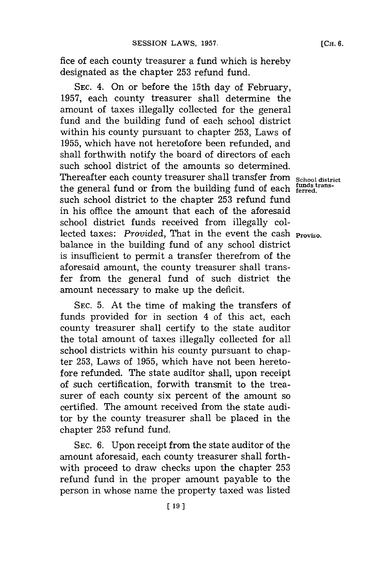fice of each county treasurer a fund which is hereby designated as the chapter **253** refund fund.

**SEC.** 4. On or before the 15th day of February, **1957,** each county treasurer shall determine the amount of taxes illegally collected for the general fund and the building fund of each school district within his county pursuant to chapter **253,** Laws of **1955,** which have not heretofore been refunded, and shall forthwith notify the board of directors of each such school district of the amounts so determined. Thereafter each county treasurer shall transfer from **School district** the general fund or from the building fund of each funds transsuch school district to the chapter **253** refund fund in his office the amount that each of the aforesaid school district funds received from illegally collected taxes: *Provided*, That in the event the cash **Proviso**. balance in the building fund of any school district is insufficient to permit a transfer therefrom of the aforesaid amount, the county treasurer shall transfer from the general fund of such district the amount necessary to make up the deficit.

**SEC. 5.** At the time of making the transfers of funds provided for in section 4 of this act, each county treasurer shall certify to the state auditor the total amount of taxes illegally collected for all school districts within his county pursuant to chapter **253,** Laws of **1955,** which have not been heretofore refunded. The state auditor shall, upon receipt of such certification, forwith transmit to the treasurer of each county six percent of the amount so certified. The amount received from the state auditor **by** the county treasurer shall be placed in the chapter **253** refund fund.

**SEC. 6.** Upon receipt from the state auditor of the amount aforesaid, each county treasurer shall forthwith proceed to draw checks upon the chapter **253** refund fund in the proper amount payable to the person in whose name the property taxed was listed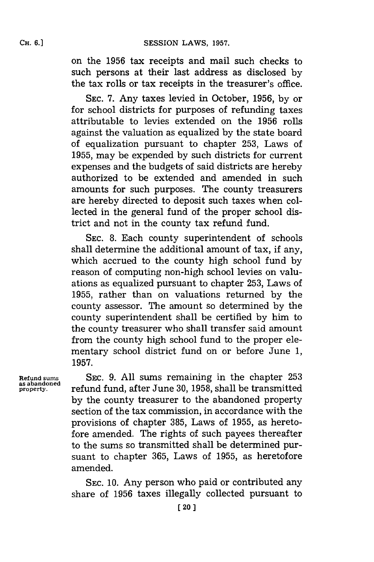on the **1956** tax receipts and mail such checks to such persons at their last address as disclosed **by** the tax rolls or tax receipts in the treasurer's office.

**SEC. 7.** Any taxes levied in October, **1956, by** or for school districts for purposes of refunding taxes attributable to levies extended on the **1956** rolls against the valuation as equalized **by** the state board of equalization pursuant to chapter **253,** Laws of **1955,** may be expended **by** such districts for current expenses and the budgets of said districts are hereby authorized to be extended and amended in such amounts for such purposes. The county treasurers are hereby directed to deposit such taxes when collected in the general fund of the proper school district and not in the county tax refund fund.

**SEC. 8.** Each county superintendent of schools shall determine the additional amount of tax, if any, which accrued to the county high school fund **by** reason of computing non-high school levies on valuations as equalized pursuant to chapter **253,** Laws of **1955,** rather than on valuations returned **by** the county assessor. The amount so determined **by** the county superintendent shall be certified **by** him to the county treasurer who shall transfer said amount from the county high school fund to the proper elementary school district fund on or before June **1, 1957.**

**Refund sums SEC. 9. All** sums remaining in the chapter **<sup>253</sup> as abandoned property.** refund fund, after June **30, 1958,** shall be transmitted **by** the county treasurer to the abandoned property section of the tax commission, in accordance with the provisions of chapter **385,** Laws of **1955,** as heretofore amended. The rights of such payees thereafter to the sums so transmitted shall be determined pursuant to chapter **365,** Laws of **1955,** as heretofore amended.

> **SEC. 10.** Any person who paid or contributed any share of **1956** taxes illegally collected pursuant to